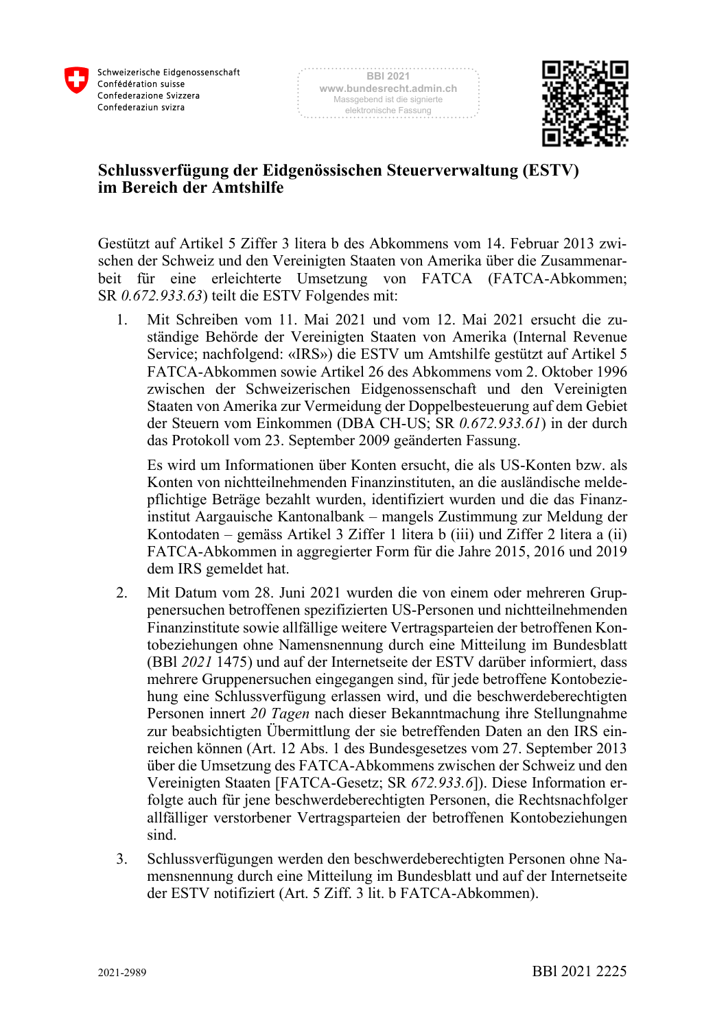



## **Schlussverfügung der Eidgenössischen Steuerverwaltung (ESTV) im Bereich der Amtshilfe**

Gestützt auf Artikel 5 Ziffer 3 litera b des Abkommens vom 14. Februar 2013 zwischen der Schweiz und den Vereinigten Staaten von Amerika über die Zusammenarbeit für eine erleichterte Umsetzung von FATCA (FATCA-Abkommen; SR *0.672.933.63*) teilt die ESTV Folgendes mit:

1. Mit Schreiben vom 11. Mai 2021 und vom 12. Mai 2021 ersucht die zuständige Behörde der Vereinigten Staaten von Amerika (Internal Revenue Service; nachfolgend: «IRS») die ESTV um Amtshilfe gestützt auf Artikel 5 FATCA-Abkommen sowie Artikel 26 des Abkommens vom 2. Oktober 1996 zwischen der Schweizerischen Eidgenossenschaft und den Vereinigten Staaten von Amerika zur Vermeidung der Doppelbesteuerung auf dem Gebiet der Steuern vom Einkommen (DBA CH-US; SR *0.672.933.61*) in der durch das Protokoll vom 23. September 2009 geänderten Fassung.

Es wird um Informationen über Konten ersucht, die als US-Konten bzw. als Konten von nichtteilnehmenden Finanzinstituten, an die ausländische meldepflichtige Beträge bezahlt wurden, identifiziert wurden und die das Finanzinstitut Aargauische Kantonalbank – mangels Zustimmung zur Meldung der Kontodaten – gemäss Artikel 3 Ziffer 1 litera b (iii) und Ziffer 2 litera a (ii) FATCA-Abkommen in aggregierter Form für die Jahre 2015, 2016 und 2019 dem IRS gemeldet hat.

- 2. Mit Datum vom 28. Juni 2021 wurden die von einem oder mehreren Gruppenersuchen betroffenen spezifizierten US-Personen und nichtteilnehmenden Finanzinstitute sowie allfällige weitere Vertragsparteien der betroffenen Kontobeziehungen ohne Namensnennung durch eine Mitteilung im Bundesblatt (BBl *2021* 1475) und auf der Internetseite der ESTV darüber informiert, dass mehrere Gruppenersuchen eingegangen sind, für jede betroffene Kontobeziehung eine Schlussverfügung erlassen wird, und die beschwerdeberechtigten Personen innert *20 Tagen* nach dieser Bekanntmachung ihre Stellungnahme zur beabsichtigten Übermittlung der sie betreffenden Daten an den IRS einreichen können (Art. 12 Abs. 1 des Bundesgesetzes vom 27. September 2013 über die Umsetzung des FATCA-Abkommens zwischen der Schweiz und den Vereinigten Staaten [FATCA-Gesetz; SR *672.933.6*]). Diese Information erfolgte auch für jene beschwerdeberechtigten Personen, die Rechtsnachfolger allfälliger verstorbener Vertragsparteien der betroffenen Kontobeziehungen sind.
- 3. Schlussverfügungen werden den beschwerdeberechtigten Personen ohne Namensnennung durch eine Mitteilung im Bundesblatt und auf der Internetseite der ESTV notifiziert (Art. 5 Ziff. 3 lit. b FATCA-Abkommen).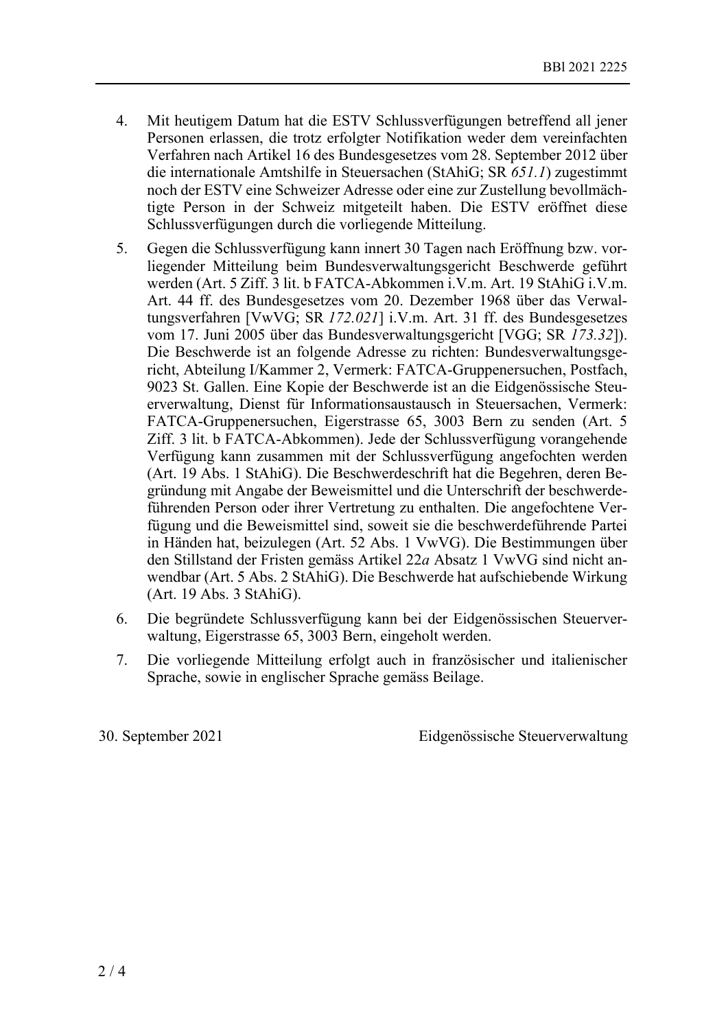- 4. Mit heutigem Datum hat die ESTV Schlussverfügungen betreffend all jener Personen erlassen, die trotz erfolgter Notifikation weder dem vereinfachten Verfahren nach Artikel 16 des Bundesgesetzes vom 28. September 2012 über die internationale Amtshilfe in Steuersachen (StAhiG; SR *651.1*) zugestimmt noch der ESTV eine Schweizer Adresse oder eine zur Zustellung bevollmächtigte Person in der Schweiz mitgeteilt haben. Die ESTV eröffnet diese Schlussverfügungen durch die vorliegende Mitteilung.
- 5. Gegen die Schlussverfügung kann innert 30 Tagen nach Eröffnung bzw. vorliegender Mitteilung beim Bundesverwaltungsgericht Beschwerde geführt werden (Art. 5 Ziff. 3 lit. b FATCA-Abkommen i.V.m. Art. 19 StAhiG i.V.m. Art. 44 ff. des Bundesgesetzes vom 20. Dezember 1968 über das Verwaltungsverfahren [VwVG; SR *172.021*] i.V.m. Art. 31 ff. des Bundesgesetzes vom 17. Juni 2005 über das Bundesverwaltungsgericht [VGG; SR *173.32*]). Die Beschwerde ist an folgende Adresse zu richten: Bundesverwaltungsgericht, Abteilung I/Kammer 2, Vermerk: FATCA-Gruppenersuchen, Postfach, 9023 St. Gallen. Eine Kopie der Beschwerde ist an die Eidgenössische Steuerverwaltung, Dienst für Informationsaustausch in Steuersachen, Vermerk: FATCA-Gruppenersuchen, Eigerstrasse 65, 3003 Bern zu senden (Art. 5 Ziff. 3 lit. b FATCA-Abkommen). Jede der Schlussverfügung vorangehende Verfügung kann zusammen mit der Schlussverfügung angefochten werden (Art. 19 Abs. 1 StAhiG). Die Beschwerdeschrift hat die Begehren, deren Begründung mit Angabe der Beweismittel und die Unterschrift der beschwerdeführenden Person oder ihrer Vertretung zu enthalten. Die angefochtene Verfügung und die Beweismittel sind, soweit sie die beschwerdeführende Partei in Händen hat, beizulegen (Art. 52 Abs. 1 VwVG). Die Bestimmungen über den Stillstand der Fristen gemäss Artikel 22*a* Absatz 1 VwVG sind nicht anwendbar (Art. 5 Abs. 2 StAhiG). Die Beschwerde hat aufschiebende Wirkung (Art. 19 Abs. 3 StAhiG).
- 6. Die begründete Schlussverfügung kann bei der Eidgenössischen Steuerverwaltung, Eigerstrasse 65, 3003 Bern, eingeholt werden.
- 7. Die vorliegende Mitteilung erfolgt auch in französischer und italienischer Sprache, sowie in englischer Sprache gemäss Beilage.

30. September 2021 Eidgenössische Steuerverwaltung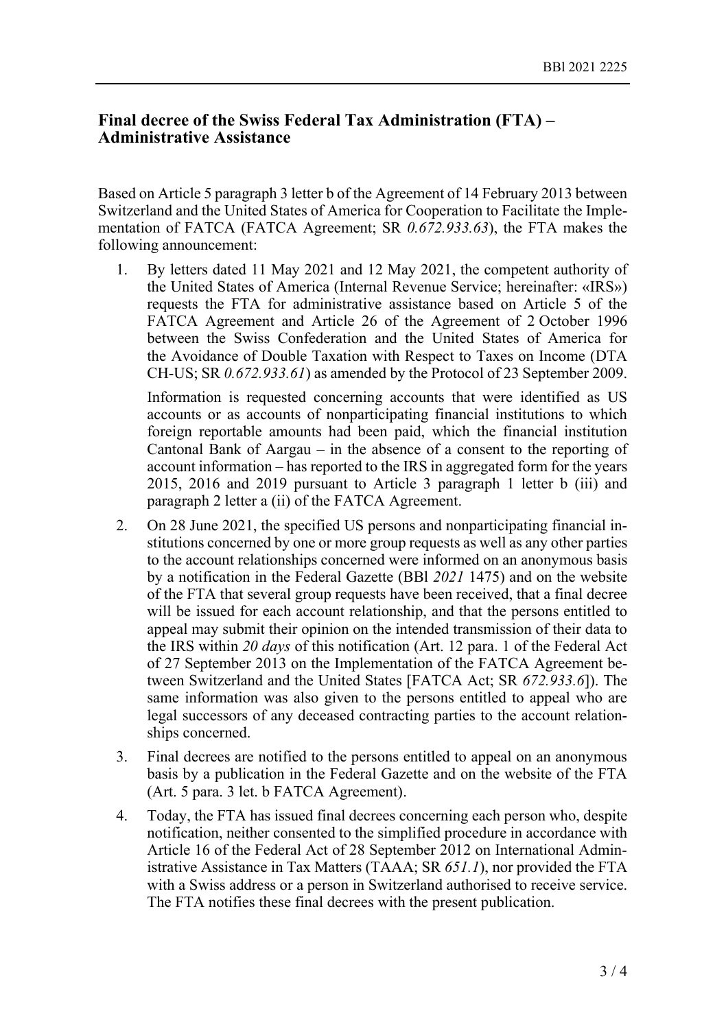## **Final decree of the Swiss Federal Tax Administration (FTA) – Administrative Assistance**

Based on Article 5 paragraph 3 letter b of the Agreement of 14 February 2013 between Switzerland and the United States of America for Cooperation to Facilitate the Implementation of FATCA (FATCA Agreement; SR *0.672.933.63*), the FTA makes the following announcement:

1. By letters dated 11 May 2021 and 12 May 2021, the competent authority of the United States of America (Internal Revenue Service; hereinafter: «IRS») requests the FTA for administrative assistance based on Article 5 of the FATCA Agreement and Article 26 of the Agreement of 2 October 1996 between the Swiss Confederation and the United States of America for the Avoidance of Double Taxation with Respect to Taxes on Income (DTA CH-US; SR *0.672.933.61*) as amended by the Protocol of 23 September 2009.

Information is requested concerning accounts that were identified as US accounts or as accounts of nonparticipating financial institutions to which foreign reportable amounts had been paid, which the financial institution Cantonal Bank of Aargau – in the absence of a consent to the reporting of account information – has reported to the IRS in aggregated form for the years 2015, 2016 and 2019 pursuant to Article 3 paragraph 1 letter b (iii) and paragraph 2 letter a (ii) of the FATCA Agreement.

- 2. On 28 June 2021, the specified US persons and nonparticipating financial institutions concerned by one or more group requests as well as any other parties to the account relationships concerned were informed on an anonymous basis by a notification in the Federal Gazette (BBl *2021* 1475) and on the website of the FTA that several group requests have been received, that a final decree will be issued for each account relationship, and that the persons entitled to appeal may submit their opinion on the intended transmission of their data to the IRS within *20 days* of this notification (Art. 12 para. 1 of the Federal Act of 27 September 2013 on the Implementation of the FATCA Agreement between Switzerland and the United States [FATCA Act; SR *672.933.6*]). The same information was also given to the persons entitled to appeal who are legal successors of any deceased contracting parties to the account relationships concerned.
- 3. Final decrees are notified to the persons entitled to appeal on an anonymous basis by a publication in the Federal Gazette and on the website of the FTA (Art. 5 para. 3 let. b FATCA Agreement).
- 4. Today, the FTA has issued final decrees concerning each person who, despite notification, neither consented to the simplified procedure in accordance with Article 16 of the Federal Act of 28 September 2012 on International Administrative Assistance in Tax Matters (TAAA; SR *651.1*), nor provided the FTA with a Swiss address or a person in Switzerland authorised to receive service. The FTA notifies these final decrees with the present publication.